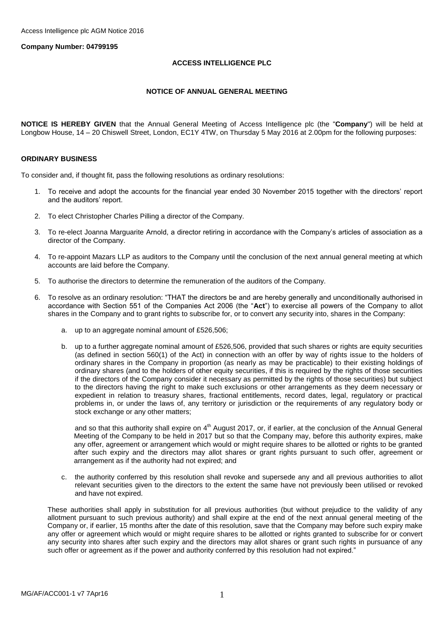### **Company Number: 04799195**

### **ACCESS INTELLIGENCE PLC**

### **NOTICE OF ANNUAL GENERAL MEETING**

**NOTICE IS HEREBY GIVEN** that the Annual General Meeting of Access Intelligence plc (the "**Company**") will be held at Longbow House, 14 – 20 Chiswell Street, London, EC1Y 4TW, on Thursday 5 May 2016 at 2.00pm for the following purposes:

### **ORDINARY BUSINESS**

To consider and, if thought fit, pass the following resolutions as ordinary resolutions:

- 1. To receive and adopt the accounts for the financial year ended 30 November 2015 together with the directors' report and the auditors' report.
- 2. To elect Christopher Charles Pilling a director of the Company.
- 3. To re-elect Joanna Marguarite Arnold, a director retiring in accordance with the Company's articles of association as a director of the Company.
- 4. To re-appoint Mazars LLP as auditors to the Company until the conclusion of the next annual general meeting at which accounts are laid before the Company.
- 5. To authorise the directors to determine the remuneration of the auditors of the Company.
- 6. To resolve as an ordinary resolution: "THAT the directors be and are hereby generally and unconditionally authorised in accordance with Section 551 of the Companies Act 2006 (the "**Act**") to exercise all powers of the Company to allot shares in the Company and to grant rights to subscribe for, or to convert any security into, shares in the Company:
	- a. up to an aggregate nominal amount of £526,506;
	- b. up to a further aggregate nominal amount of £526,506, provided that such shares or rights are equity securities (as defined in section 560(1) of the Act) in connection with an offer by way of rights issue to the holders of ordinary shares in the Company in proportion (as nearly as may be practicable) to their existing holdings of ordinary shares (and to the holders of other equity securities, if this is required by the rights of those securities if the directors of the Company consider it necessary as permitted by the rights of those securities) but subject to the directors having the right to make such exclusions or other arrangements as they deem necessary or expedient in relation to treasury shares, fractional entitlements, record dates, legal, regulatory or practical problems in, or under the laws of, any territory or jurisdiction or the requirements of any regulatory body or stock exchange or any other matters;

and so that this authority shall expire on 4<sup>th</sup> August 2017, or, if earlier, at the conclusion of the Annual General Meeting of the Company to be held in 2017 but so that the Company may, before this authority expires, make any offer, agreement or arrangement which would or might require shares to be allotted or rights to be granted after such expiry and the directors may allot shares or grant rights pursuant to such offer, agreement or arrangement as if the authority had not expired; and

c. the authority conferred by this resolution shall revoke and supersede any and all previous authorities to allot relevant securities given to the directors to the extent the same have not previously been utilised or revoked and have not expired.

These authorities shall apply in substitution for all previous authorities (but without prejudice to the validity of any allotment pursuant to such previous authority) and shall expire at the end of the next annual general meeting of the Company or, if earlier, 15 months after the date of this resolution, save that the Company may before such expiry make any offer or agreement which would or might require shares to be allotted or rights granted to subscribe for or convert any security into shares after such expiry and the directors may allot shares or grant such rights in pursuance of any such offer or agreement as if the power and authority conferred by this resolution had not expired."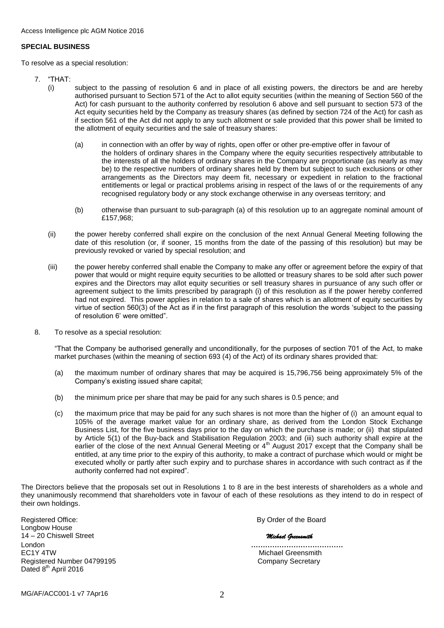### **SPECIAL BUSINESS**

To resolve as a special resolution:

- 7. "THAT:
	- (i) subject to the passing of resolution 6 and in place of all existing powers, the directors be and are hereby authorised pursuant to Section 571 of the Act to allot equity securities (within the meaning of Section 560 of the Act) for cash pursuant to the authority conferred by resolution 6 above and sell pursuant to section 573 of the Act equity securities held by the Company as treasury shares (as defined by section 724 of the Act) for cash as if section 561 of the Act did not apply to any such allotment or sale provided that this power shall be limited to the allotment of equity securities and the sale of treasury shares:
		- (a) in connection with an offer by way of rights, open offer or other pre-emptive offer in favour of the holders of ordinary shares in the Company where the equity securities respectively attributable to the interests of all the holders of ordinary shares in the Company are proportionate (as nearly as may be) to the respective numbers of ordinary shares held by them but subject to such exclusions or other arrangements as the Directors may deem fit, necessary or expedient in relation to the fractional entitlements or legal or practical problems arising in respect of the laws of or the requirements of any recognised regulatory body or any stock exchange otherwise in any overseas territory; and
		- (b) otherwise than pursuant to sub-paragraph (a) of this resolution up to an aggregate nominal amount of £157,968;
	- (ii) the power hereby conferred shall expire on the conclusion of the next Annual General Meeting following the date of this resolution (or, if sooner, 15 months from the date of the passing of this resolution) but may be previously revoked or varied by special resolution; and
	- (iii) the power hereby conferred shall enable the Company to make any offer or agreement before the expiry of that power that would or might require equity securities to be allotted or treasury shares to be sold after such power expires and the Directors may allot equity securities or sell treasury shares in pursuance of any such offer or agreement subject to the limits prescribed by paragraph (i) of this resolution as if the power hereby conferred had not expired. This power applies in relation to a sale of shares which is an allotment of equity securities by virtue of section 560(3) of the Act as if in the first paragraph of this resolution the words 'subject to the passing of resolution 6' were omitted".
- 8. To resolve as a special resolution:

"That the Company be authorised generally and unconditionally, for the purposes of section 701 of the Act, to make market purchases (within the meaning of section 693 (4) of the Act) of its ordinary shares provided that:

- (a) the maximum number of ordinary shares that may be acquired is 15,796,756 being approximately 5% of the Company's existing issued share capital;
- (b) the minimum price per share that may be paid for any such shares is 0.5 pence; and
- (c) the maximum price that may be paid for any such shares is not more than the higher of (i) an amount equal to 105% of the average market value for an ordinary share, as derived from the London Stock Exchange Business List, for the five business days prior to the day on which the purchase is made; or (ii) that stipulated by Article 5(1) of the Buy-back and Stabilisation Regulation 2003; and (iii) such authority shall expire at the earlier of the close of the next Annual General Meeting or 4<sup>th</sup> August 2017 except that the Company shall be entitled, at any time prior to the expiry of this authority, to make a contract of purchase which would or might be executed wholly or partly after such expiry and to purchase shares in accordance with such contract as if the authority conferred had not expired".

The Directors believe that the proposals set out in Resolutions 1 to 8 are in the best interests of shareholders as a whole and they unanimously recommend that shareholders vote in favour of each of these resolutions as they intend to do in respect of their own holdings.

Registered Office: **By Order of the Board** Longbow House 14 – 20 Chiswell Street *Michael Greensmith* London **…………………………………** Registered Number 04799195 Company Secretary Dated 8<sup>th</sup> April 2016

Michael Greensmith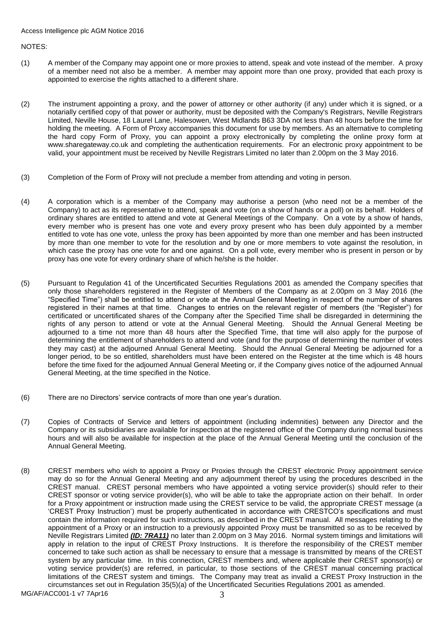NOTES:

- (1) A member of the Company may appoint one or more proxies to attend, speak and vote instead of the member. A proxy of a member need not also be a member. A member may appoint more than one proxy, provided that each proxy is appointed to exercise the rights attached to a different share.
- (2) The instrument appointing a proxy, and the power of attorney or other authority (if any) under which it is signed, or a notarially certified copy of that power or authority, must be deposited with the Company's Registrars, Neville Registrars Limited, Neville House, 18 Laurel Lane, Halesowen, West Midlands B63 3DA not less than 48 hours before the time for holding the meeting. A Form of Proxy accompanies this document for use by members. As an alternative to completing the hard copy Form of Proxy, you can appoint a proxy electronically by completing the online proxy form at www.sharegateway.co.uk and completing the authentication requirements. For an electronic proxy appointment to be valid, your appointment must be received by Neville Registrars Limited no later than 2.00pm on the 3 May 2016.
- (3) Completion of the Form of Proxy will not preclude a member from attending and voting in person.
- (4) A corporation which is a member of the Company may authorise a person (who need not be a member of the Company) to act as its representative to attend, speak and vote (on a show of hands or a poll) on its behalf. Holders of ordinary shares are entitled to attend and vote at General Meetings of the Company. On a vote by a show of hands, every member who is present has one vote and every proxy present who has been duly appointed by a member entitled to vote has one vote, unless the proxy has been appointed by more than one member and has been instructed by more than one member to vote for the resolution and by one or more members to vote against the resolution, in which case the proxy has one vote for and one against. On a poll vote, every member who is present in person or by proxy has one vote for every ordinary share of which he/she is the holder.
- (5) Pursuant to Regulation 41 of the Uncertificated Securities Regulations 2001 as amended the Company specifies that only those shareholders registered in the Register of Members of the Company as at 2.00pm on 3 May 2016 (the "Specified Time") shall be entitled to attend or vote at the Annual General Meeting in respect of the number of shares registered in their names at that time. Changes to entries on the relevant register of members (the "Register") for certificated or uncertificated shares of the Company after the Specified Time shall be disregarded in determining the rights of any person to attend or vote at the Annual General Meeting. Should the Annual General Meeting be adjourned to a time not more than 48 hours after the Specified Time, that time will also apply for the purpose of determining the entitlement of shareholders to attend and vote (and for the purpose of determining the number of votes they may cast) at the adjourned Annual General Meeting. Should the Annual General Meeting be adjourned for a longer period, to be so entitled, shareholders must have been entered on the Register at the time which is 48 hours before the time fixed for the adjourned Annual General Meeting or, if the Company gives notice of the adjourned Annual General Meeting, at the time specified in the Notice.
- (6) There are no Directors' service contracts of more than one year's duration.
- (7) Copies of Contracts of Service and letters of appointment (including indemnities) between any Director and the Company or its subsidiaries are available for inspection at the registered office of the Company during normal business hours and will also be available for inspection at the place of the Annual General Meeting until the conclusion of the Annual General Meeting.
- (8) CREST members who wish to appoint a Proxy or Proxies through the CREST electronic Proxy appointment service may do so for the Annual General Meeting and any adjournment thereof by using the procedures described in the CREST manual. CREST personal members who have appointed a voting service provider(s) should refer to their CREST sponsor or voting service provider(s), who will be able to take the appropriate action on their behalf. In order for a Proxy appointment or instruction made using the CREST service to be valid, the appropriate CREST message (a 'CREST Proxy Instruction') must be properly authenticated in accordance with CRESTCO's specifications and must contain the information required for such instructions, as described in the CREST manual. All messages relating to the appointment of a Proxy or an instruction to a previously appointed Proxy must be transmitted so as to be received by Neville Registrars Limited *(ID: 7RA11)* no later than 2.00pm on 3 May 2016. Normal system timings and limitations will apply in relation to the input of CREST Proxy Instructions. It is therefore the responsibility of the CREST member concerned to take such action as shall be necessary to ensure that a message is transmitted by means of the CREST system by any particular time. In this connection, CREST members and, where applicable their CREST sponsor(s) or voting service provider(s) are referred, in particular, to those sections of the CREST manual concerning practical limitations of the CREST system and timings. The Company may treat as invalid a CREST Proxy Instruction in the circumstances set out in Regulation 35(5)(a) of the Uncertificated Securities Regulations 2001 as amended.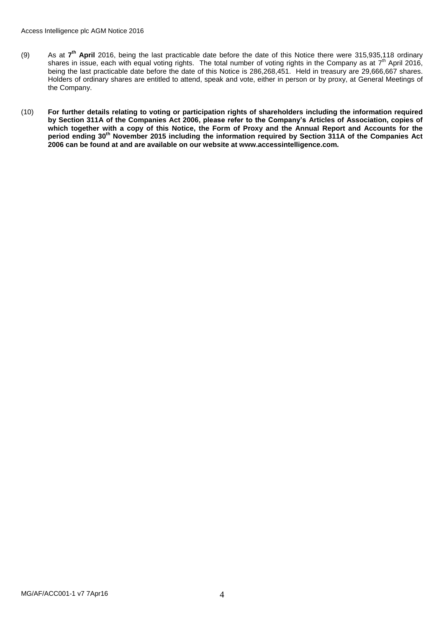- (9) As at **7 th April** 2016, being the last practicable date before the date of this Notice there were 315,935,118 ordinary shares in issue, each with equal voting rights. The total number of voting rights in the Company as at  $7<sup>th</sup>$  April 2016, being the last practicable date before the date of this Notice is 286,268,451. Held in treasury are 29,666,667 shares. Holders of ordinary shares are entitled to attend, speak and vote, either in person or by proxy, at General Meetings of the Company.
- (10) **For further details relating to voting or participation rights of shareholders including the information required by Section 311A of the Companies Act 2006, please refer to the Company's Articles of Association, copies of**  which together with a copy of this Notice, the Form of Proxy and the Annual Report and Accounts for the **period ending 30th November 2015 including the information required by Section 311A of the Companies Act 2006 can be found at and are available on our website at www.accessintelligence.com.**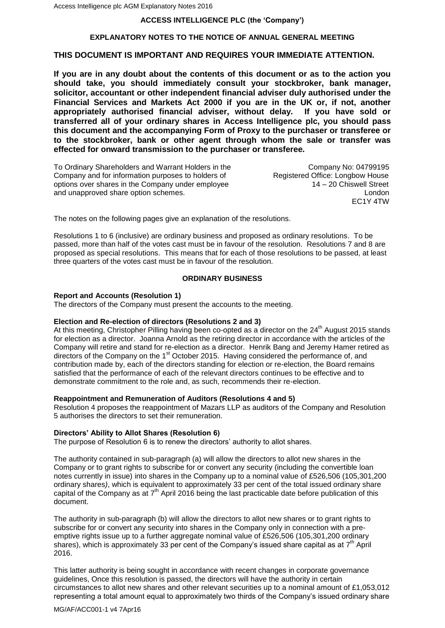### **ACCESS INTELLIGENCE PLC (the 'Company')**

### **EXPLANATORY NOTES TO THE NOTICE OF ANNUAL GENERAL MEETING**

## **THIS DOCUMENT IS IMPORTANT AND REQUIRES YOUR IMMEDIATE ATTENTION.**

**If you are in any doubt about the contents of this document or as to the action you should take, you should immediately consult your stockbroker, bank manager, solicitor, accountant or other independent financial adviser duly authorised under the Financial Services and Markets Act 2000 if you are in the UK or, if not, another appropriately authorised financial adviser, without delay. If you have sold or transferred all of your ordinary shares in Access Intelligence plc, you should pass this document and the accompanying Form of Proxy to the purchaser or transferee or to the stockbroker, bank or other agent through whom the sale or transfer was effected for onward transmission to the purchaser or transferee.**

To Ordinary Shareholders and Warrant Holders in the Company No: 04799195<br>Company and for information purposes to holders of Registered Office: Longbow House Company and for information purposes to holders of options over shares in the Company under employee 14 – 20 Chiswell Street and unapproved share option schemes. London

EC1Y 4TW

The notes on the following pages give an explanation of the resolutions.

Resolutions 1 to 6 (inclusive) are ordinary business and proposed as ordinary resolutions. To be passed, more than half of the votes cast must be in favour of the resolution. Resolutions 7 and 8 are proposed as special resolutions. This means that for each of those resolutions to be passed, at least three quarters of the votes cast must be in favour of the resolution.

#### **ORDINARY BUSINESS**

#### **Report and Accounts (Resolution 1)**

The directors of the Company must present the accounts to the meeting.

### **Election and Re-election of directors (Resolutions 2 and 3)**

At this meeting, Christopher Pilling having been co-opted as a director on the 24<sup>th</sup> August 2015 stands for election as a director. Joanna Arnold as the retiring director in accordance with the articles of the Company will retire and stand for re-election as a director. Henrik Bang and Jeremy Hamer retired as directors of the Company on the 1<sup>st</sup> October 2015. Having considered the performance of, and contribution made by, each of the directors standing for election or re-election, the Board remains satisfied that the performance of each of the relevant directors continues to be effective and to demonstrate commitment to the role and, as such, recommends their re-election.

#### **Reappointment and Remuneration of Auditors (Resolutions 4 and 5)**

Resolution 4 proposes the reappointment of Mazars LLP as auditors of the Company and Resolution 5 authorises the directors to set their remuneration.

#### **Directors' Ability to Allot Shares (Resolution 6)**

The purpose of Resolution 6 is to renew the directors' authority to allot shares.

The authority contained in sub-paragraph (a) will allow the directors to allot new shares in the Company or to grant rights to subscribe for or convert any security (including the convertible loan notes currently in issue) into shares in the Company up to a nominal value of £526,506 (105,301,200 ordinary shares*)*, which is equivalent to approximately 33 per cent of the total issued ordinary share capital of the Company as at  $7<sup>th</sup>$  April 2016 being the last practicable date before publication of this document.

The authority in sub-paragraph (b) will allow the directors to allot new shares or to grant rights to subscribe for or convert any security into shares in the Company only in connection with a preemptive rights issue up to a further aggregate nominal value of £526,506 (105,301,200 ordinary shares), which is approximately 33 per cent of the Company's issued share capital as at  $7<sup>th</sup>$  April 2016.

This latter authority is being sought in accordance with recent changes in corporate governance guidelines, Once this resolution is passed, the directors will have the authority in certain circumstances to allot new shares and other relevant securities up to a nominal amount of £1,053,012 representing a total amount equal to approximately two thirds of the Company's issued ordinary share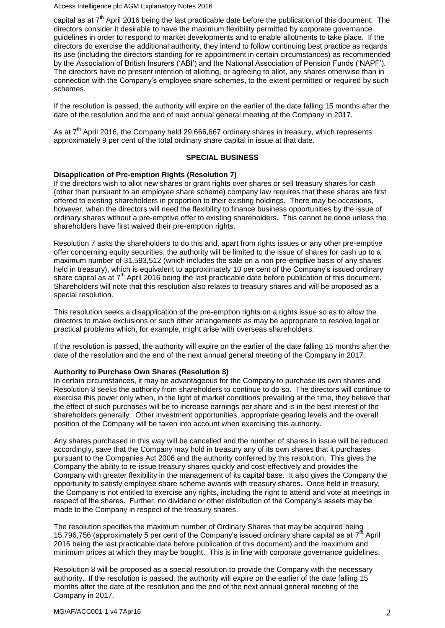Access Intelligence plc AGM Explanatory Notes 2016

capital as at 7<sup>th</sup> April 2016 being the last practicable date before the publication of this document. The directors consider it desirable to have the maximum flexibility permitted by corporate governance guidelines in order to respond to market developments and to enable allotments to take place. If the directors do exercise the additional authority, they intend to follow continuing best practice as reqards its use (including the directors standing for re-appointment in certain circumstances) as recommended by the Association of British Insurers ('ABI') and the National Association of Pension Funds ('NAPF'). The directors have no present intention of allotting, or agreeing to allot, any shares otherwise than in connection with the Company's employee share schemes, to the extent permitted or required by such schemes.

If the resolution is passed, the authority will expire on the earlier of the date falling 15 months after the date of the resolution and the end of next annual general meeting of the Company in 2017.

As at 7<sup>th</sup> April 2016, the Company held 29,666,667 ordinary shares in treasury, which represents approximately 9 per cent of the total ordinary share capital in issue at that date.

### **SPECIAL BUSINESS**

### **Disapplication of Pre-emption Rights (Resolution 7)**

If the directors wish to allot new shares or grant rights over shares or sell treasury shares for cash (other than pursuant to an employee share scheme) company law requires that these shares are first offered to existing shareholders in proportion to their existing holdings. There may be occasions, however, when the directors will need the flexibility to finance business opportunities by the issue of ordinary shares without a pre-emptive offer to existing shareholders. This cannot be done unless the shareholders have first waived their pre-emption rights.

Resolution 7 asks the shareholders to do this and, apart from rights issues or any other pre-emptive offer concerning equity securities, the authority will be limited to the issue of shares for cash up to a maximum number of 31,593,512 (which includes the sale on a non pre-emptive basis of any shares held in treasury), which is equivalent to approximately 10 per cent of the Company's issued ordinary share capital as at  $7<sup>th</sup>$  April 2016 being the last practicable date before publication of this document. Shareholders will note that this resolution also relates to treasury shares and will be proposed as a special resolution.

This resolution seeks a disapplication of the pre-emption rights on a rights issue so as to allow the directors to make exclusions or such other arrangements as may be appropriate to resolve legal or practical problems which, for example, might arise with overseas shareholders.

If the resolution is passed, the authority will expire on the earlier of the date falling 15 months after the date of the resolution and the end of the next annual general meeting of the Company in 2017.

#### **Authority to Purchase Own Shares (Resolution 8)**

In certain circumstances, it may be advantageous for the Company to purchase its own shares and Resolution 8 seeks the authority from shareholders to continue to do so. The directors will continue to exercise this power only when, in the light of market conditions prevailing at the time, they believe that the effect of such purchases will be to increase earnings per share and is in the best interest of the shareholders generally. Other investment opportunities, appropriate gearing levels and the overall position of the Company will be taken into account when exercising this authority.

Any shares purchased in this way will be cancelled and the number of shares in issue will be reduced accordingly, save that the Company may hold in treasury any of its own shares that it purchases pursuant to the Companies Act 2006 and the authority conferred by this resolution. This gives the Company the ability to re-issue treasury shares quickly and cost-effectively and provides the Company with greater flexibility in the management of its capital base. It also gives the Company the opportunity to satisfy employee share scheme awards with treasury shares. Once held in treasury, the Company is not entitled to exercise any rights, including the right to attend and vote at meetings in respect of the shares. Further, no dividend or other distribution of the Company's assets may be made to the Company in respect of the treasury shares.

The resolution specifies the maximum number of Ordinary Shares that may be acquired being 15,796,756 (approximately 5 per cent of the Company's issued ordinary share capital as at  $7^{\text{th}}$  April 2016 being the last practicable date before publication of this document) and the maximum and minimum prices at which they may be bought. This is in line with corporate governance guidelines.

Resolution 8 will be proposed as a special resolution to provide the Company with the necessary authority. If the resolution is passed, the authority will expire on the earlier of the date falling 15 months after the date of the resolution and the end of the next annual general meeting of the Company in 2017.